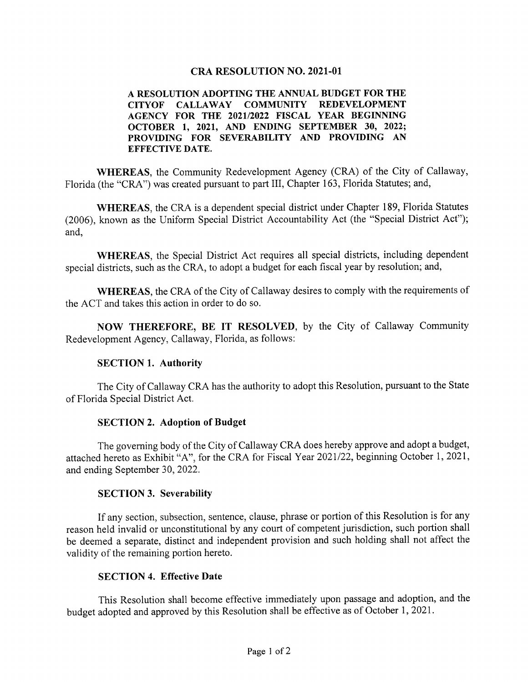#### **CRA RESOLUTION NO. 2021-01**

#### A RESOLUTION ADOPTING THE ANNUAL BUDGET FOR THE CITYOF CALLAWAY COMMUNITY REDEVELOPMENT AGENCY FOR THE 2021/2022 FISCAL YEAR BEGINNING OCTOBER 1, 2021, AND ENDING SEPTEMBER 30, 2022; PROVIDING FOR SEVERABILITY AND PROVIDING AN EFFECTIVE DATE.

WHEREAS, the Community Redevelopment Agency (CRA) of the City of Callaway, Florida (the "CRA") was created pursuant to part III, Chapter 163, Florida Statutes; and,

WHEREAS, the CRA is a dependent special district under Chapter 189, Florida Statutes 2006), known as the Uniform Special District Accountability Act ( the " Special District Act"); and,

WHEREAS, the Special District Act requires all special districts, including dependent special districts, such as the CRA, to adopt a budget for each fiscal year by resolution; and,

WHEREAS, the CRA of the City of Callaway desires to comply with the requirements of the ACT and takes this action in order to do so.

NOW THEREFORE, BE IT RESOLVED, by the City of Callaway Community Redevelopment Agency, Callaway, Florida, as follows:

#### SECTION 1. Authority

The City of Callaway CRA has the authority to adopt this Resolution, pursuant to the State of Florida Special District Act.

#### SECTION 2. Adoption of Budget

The governing body of the City of Callaway CRA does hereby approve and adopt <sup>a</sup> budget, attached hereto as Exhibit "A", for the CRA for Fiscal Year 2021/22, beginning October 1, 2021, and ending September 30, 2022,

#### SECTION 3. Severability

If any section, subsection, sentence, clause, phrase or portion of this Resolution is for any reason held invalid or unconstitutional by any court of competent jurisdiction, such portion shall be deemed a separate, distinct and independent provision and such holding shall not affect the validity of the remaining portion hereto.

#### SECTION 4. Effective Date

This Resolution shall become effective immediately upon passage and adoption, and the budget adopted and approved by this Resolution shall be effective as of October 1, 2021.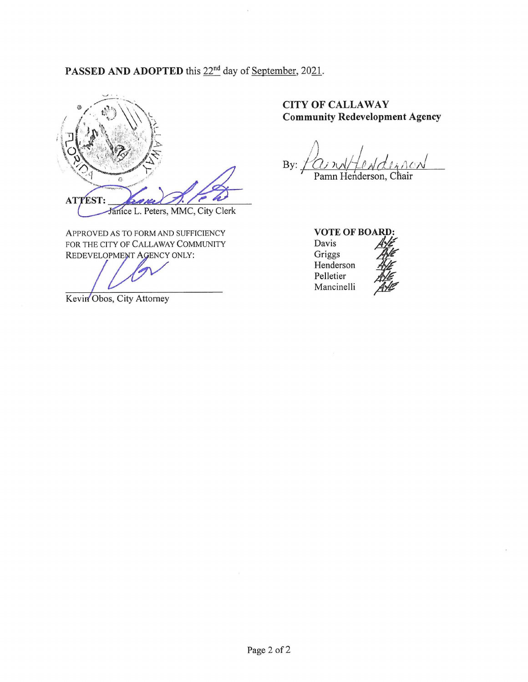# PASSED AND ADOPTED this 22<sup>nd</sup> day of <u>September</u>, 2021.



APPROVED AS TO FORM AND SUFFICIENCY FOR THE CITY OF CALLAWAY COMMUNITY REDEVELOPMENT AGENCY ONLY: ST:<br>
Janice L. Peters.<br>
VED AS TO FORM AN<br>
HE CITY OF CALLAW!<br>
VELOPMENT AGENCY<br>
Obos, City Attorney

Kevin Obos, City Attorney

## CITY OF CALLAWAY Community Redevelopment Agency

By: <u>f</u>C Pamn Henderson, Chair

VOTE OF BOARD:

Davis Griggs Henderson Pelletier Mancinelli